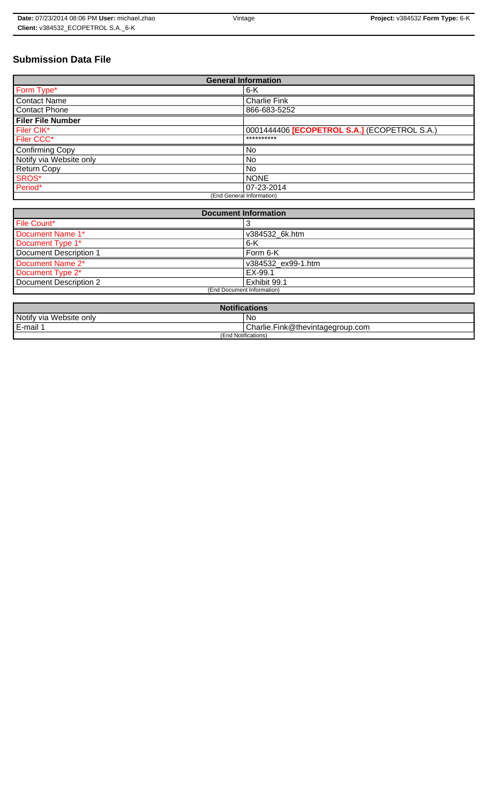# **Submission Data File**

| <b>General Information</b> |                                              |  |  |  |
|----------------------------|----------------------------------------------|--|--|--|
| Form Type*                 | $6-K$                                        |  |  |  |
| <b>Contact Name</b>        | <b>Charlie Fink</b>                          |  |  |  |
| <b>Contact Phone</b>       | 866-683-5252                                 |  |  |  |
| <b>Filer File Number</b>   |                                              |  |  |  |
| Filer CIK*                 | 0001444406 [ECOPETROL S.A.] (ECOPETROL S.A.) |  |  |  |
| Filer CCC*                 | **********                                   |  |  |  |
| <b>Confirming Copy</b>     | No.                                          |  |  |  |
| Notify via Website only    | <b>No</b>                                    |  |  |  |
| <b>Return Copy</b>         | <b>No</b>                                    |  |  |  |
| SROS*                      | <b>NONE</b>                                  |  |  |  |
| Period*                    | 07-23-2014                                   |  |  |  |
| (End General Information)  |                                              |  |  |  |

| <b>Document Information</b> |                    |  |  |  |
|-----------------------------|--------------------|--|--|--|
| File Count*                 |                    |  |  |  |
| Document Name 1*            | v384532 6k.htm     |  |  |  |
| Document Type 1*<br>6-K     |                    |  |  |  |
| Document Description 1      | Form 6-K           |  |  |  |
| Document Name 2*            | v384532 ex99-1.htm |  |  |  |
| Document Type 2*            | EX-99.1            |  |  |  |
| Document Description 2      | Exhibit 99.1       |  |  |  |
| (End Document Information)  |                    |  |  |  |
|                             |                    |  |  |  |

| <b>Notifications</b>    |                                  |  |  |
|-------------------------|----------------------------------|--|--|
| Notify via Website only | ' No                             |  |  |
| E-mail 1                | Charlie.Fink@thevintagegroup.com |  |  |
| (End Notifications)     |                                  |  |  |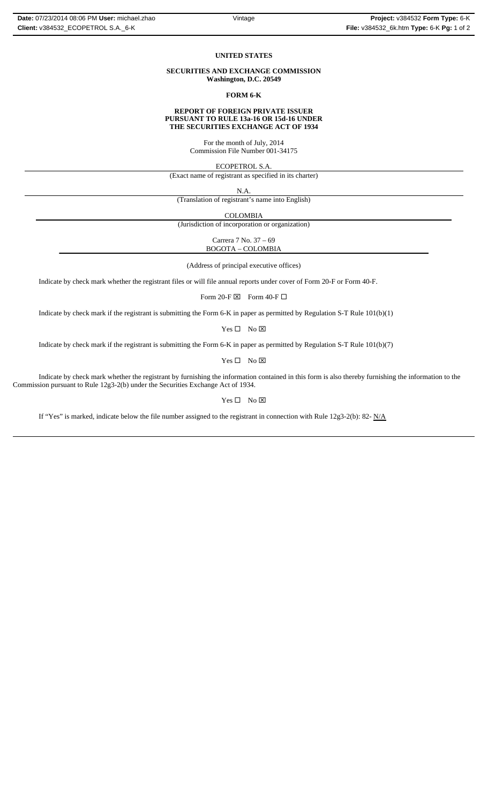#### **UNITED STATES**

#### **SECURITIES AND EXCHANGE COMMISSION Washington, D.C. 20549**

**FORM 6-K**

#### **REPORT OF FOREIGN PRIVATE ISSUER PURSUANT TO RULE 13a-16 OR 15d-16 UNDER THE SECURITIES EXCHANGE ACT OF 1934**

For the month of July, 2014 Commission File Number 001-34175

ECOPETROL S.A.

(Exact name of registrant as specified in its charter)

N.A.

(Translation of registrant's name into English)

COLOMBIA

(Jurisdiction of incorporation or organization)

Carrera 7 No. 37 – 69 BOGOTA – COLOMBIA

(Address of principal executive offices)

Indicate by check mark whether the registrant files or will file annual reports under cover of Form 20-F or Form 40-F.

Form 20-F  $\boxtimes$  Form 40-F  $\Box$ 

Indicate by check mark if the registrant is submitting the Form 6-K in paper as permitted by Regulation S-T Rule 101(b)(1)

 $Yes \Box No \boxtimes$ 

Indicate by check mark if the registrant is submitting the Form 6-K in paper as permitted by Regulation S-T Rule 101(b)(7)

 $Yes \Box No \boxtimes$ 

Indicate by check mark whether the registrant by furnishing the information contained in this form is also thereby furnishing the information to the Commission pursuant to Rule 12g3-2(b) under the Securities Exchange Act of 1934.

## $Yes \Box No \boxtimes$

If "Yes" is marked, indicate below the file number assigned to the registrant in connection with Rule 12g3-2(b): 82-  $N/A$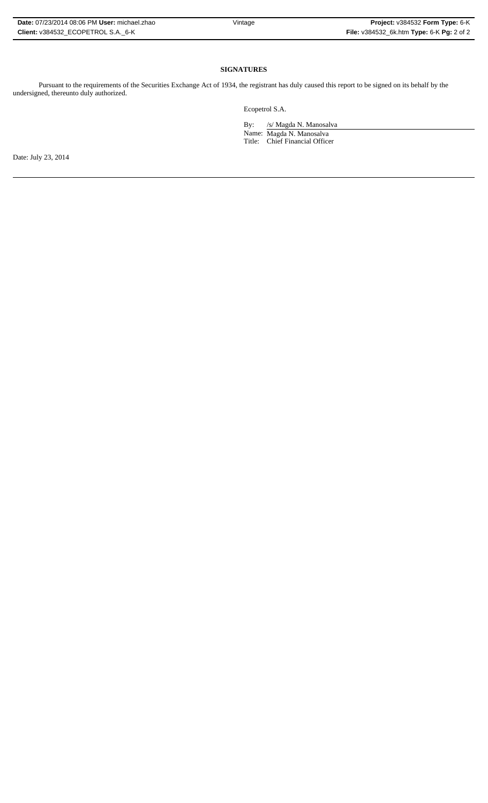| Date: 07/23/2014 08:06 PM User: michael.zhao |  |
|----------------------------------------------|--|
| Client: v384532 ECOPETROL S.A. 6-K           |  |

# **SIGNATURES**

Pursuant to the requirements of the Securities Exchange Act of 1934, the registrant has duly caused this report to be signed on its behalf by the undersigned, thereunto duly authorized.

Ecopetrol S.A.

By: /s/ Magda N. Manosalva

Name: Magda N. Manosalva Title: Chief Financial Officer

Date: July 23, 2014